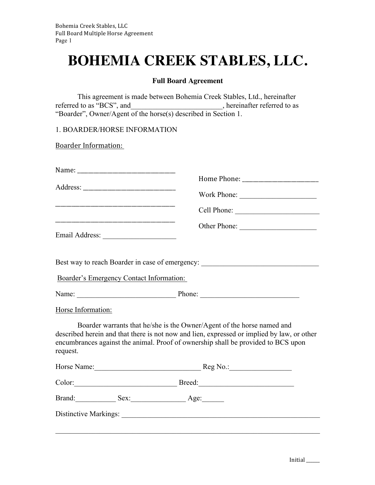## **BOHEMIA CREEK STABLES, LLC.**

## **Full Board Agreement**

This agreement is made between Bohemia Creek Stables, Ltd., hereinafter referred to as "BCS", and \_\_\_\_\_\_\_\_\_\_\_\_\_\_\_\_\_\_\_\_, hereinafter referred to as "Boarder", Owner/Agent of the horse(s) described in Section 1.

1. BOARDER/HORSE INFORMATION

**Boarder Information:** 

|                                          | Other Phone:                                                                                                                                                                                                                                              |  |
|------------------------------------------|-----------------------------------------------------------------------------------------------------------------------------------------------------------------------------------------------------------------------------------------------------------|--|
|                                          | Best way to reach Boarder in case of emergency: ________________________________                                                                                                                                                                          |  |
| Boarder's Emergency Contact Information: |                                                                                                                                                                                                                                                           |  |
|                                          |                                                                                                                                                                                                                                                           |  |
| Horse Information:                       |                                                                                                                                                                                                                                                           |  |
| request.                                 | Boarder warrants that he/she is the Owner/Agent of the horse named and<br>described herein and that there is not now and lien, expressed or implied by law, or other<br>encumbrances against the animal. Proof of ownership shall be provided to BCS upon |  |
| Horse Name: Reg No.: Reg No.:            |                                                                                                                                                                                                                                                           |  |
|                                          | Color: Breed: Breed:                                                                                                                                                                                                                                      |  |
| Brand: Sex: Sex: Age:                    |                                                                                                                                                                                                                                                           |  |
|                                          |                                                                                                                                                                                                                                                           |  |
|                                          |                                                                                                                                                                                                                                                           |  |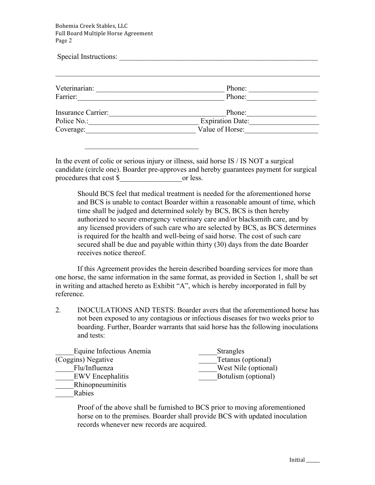Bohemia Creek Stables, LLC Full Board Multiple Horse Agreement Page 2

 $\mathcal{L}_\text{max} = \frac{1}{2} \sum_{i=1}^{n} \frac{1}{2} \sum_{i=1}^{n} \frac{1}{2} \sum_{i=1}^{n} \frac{1}{2} \sum_{i=1}^{n} \frac{1}{2} \sum_{i=1}^{n} \frac{1}{2} \sum_{i=1}^{n} \frac{1}{2} \sum_{i=1}^{n} \frac{1}{2} \sum_{i=1}^{n} \frac{1}{2} \sum_{i=1}^{n} \frac{1}{2} \sum_{i=1}^{n} \frac{1}{2} \sum_{i=1}^{n} \frac{1}{2} \sum_{i=1}^{n} \frac{1$ 

| Special Instructions: |                  |  |
|-----------------------|------------------|--|
| Veterinarian:         | Phone:           |  |
| Farrier:              | Phone:           |  |
| Insurance Carrier:    | Phone:           |  |
| Police No.:           | Expiration Date: |  |
| Coverage:             | Value of Horse:  |  |

In the event of colic or serious injury or illness, said horse IS / IS NOT a surgical candidate (circle one). Boarder pre-approves and hereby guarantees payment for surgical procedures that cost \$ or less.

Should BCS feel that medical treatment is needed for the aforementioned horse and BCS is unable to contact Boarder within a reasonable amount of time, which time shall be judged and determined solely by BCS, BCS is then hereby authorized to secure emergency veterinary care and/or blacksmith care, and by any licensed providers of such care who are selected by BCS, as BCS determines is required for the health and well-being of said horse. The cost of such care secured shall be due and payable within thirty (30) days from the date Boarder receives notice thereof.

If this Agreement provides the herein described boarding services for more than one horse, the same information in the same format, as provided in Section 1, shall be set in writing and attached hereto as Exhibit "A", which is hereby incorporated in full by reference.

2. INOCULATIONS AND TESTS: Boarder avers that the aforementioned horse has not been exposed to any contagious or infectious diseases for two weeks prior to boarding. Further, Boarder warrants that said horse has the following inoculations and tests:

| Equine Infectious Anemia | <b>Strangles</b>     |
|--------------------------|----------------------|
| (Coggins) Negative       | Tetanus (optional)   |
| Flu/Influenza            | West Nile (optional) |
| <b>EWV</b> Encephalitis  | Botulism (optional)  |
| Rhinopneuminitis         |                      |

\_\_\_\_\_Rabies

Proof of the above shall be furnished to BCS prior to moving aforementioned horse on to the premises. Boarder shall provide BCS with updated inoculation records whenever new records are acquired.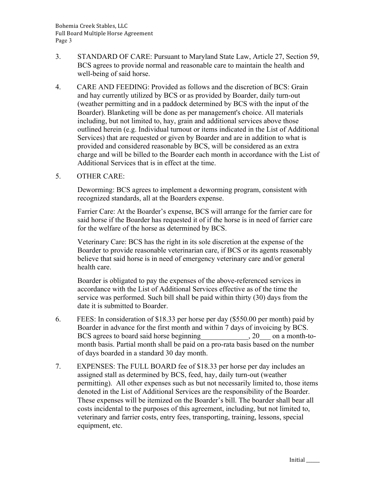- 3. STANDARD OF CARE: Pursuant to Maryland State Law, Article 27, Section 59, BCS agrees to provide normal and reasonable care to maintain the health and well-being of said horse.
- 4. CARE AND FEEDING: Provided as follows and the discretion of BCS: Grain and hay currently utilized by BCS or as provided by Boarder, daily turn-out (weather permitting and in a paddock determined by BCS with the input of the Boarder). Blanketing will be done as per management's choice. All materials including, but not limited to, hay, grain and additional services above those outlined herein (e.g. Individual turnout or items indicated in the List of Additional Services) that are requested or given by Boarder and are in addition to what is provided and considered reasonable by BCS, will be considered as an extra charge and will be billed to the Boarder each month in accordance with the List of Additional Services that is in effect at the time.
- 5. OTHER CARE:

Deworming: BCS agrees to implement a deworming program, consistent with recognized standards, all at the Boarders expense.

Farrier Care: At the Boarder's expense, BCS will arrange for the farrier care for said horse if the Boarder has requested it of if the horse is in need of farrier care for the welfare of the horse as determined by BCS.

Veterinary Care: BCS has the right in its sole discretion at the expense of the Boarder to provide reasonable veterinarian care, if BCS or its agents reasonably believe that said horse is in need of emergency veterinary care and/or general health care.

Boarder is obligated to pay the expenses of the above-referenced services in accordance with the List of Additional Services effective as of the time the service was performed. Such bill shall be paid within thirty (30) days from the date it is submitted to Boarder.

- 6. FEES: In consideration of \$18.33 per horse per day (\$550.00 per month) paid by Boarder in advance for the first month and within 7 days of invoicing by BCS. BCS agrees to board said horse beginning 20 on a month-tomonth basis. Partial month shall be paid on a pro-rata basis based on the number of days boarded in a standard 30 day month.
- 7. EXPENSES: The FULL BOARD fee of \$18.33 per horse per day includes an assigned stall as determined by BCS, feed, hay, daily turn-out (weather permitting). All other expenses such as but not necessarily limited to, those items denoted in the List of Additional Services are the responsibility of the Boarder. These expenses will be itemized on the Boarder's bill. The boarder shall bear all costs incidental to the purposes of this agreement, including, but not limited to, veterinary and farrier costs, entry fees, transporting, training, lessons, special equipment, etc.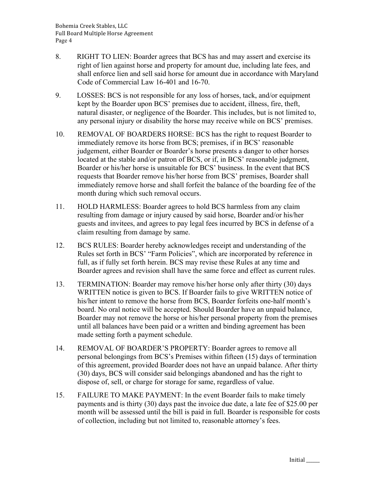- 8. RIGHT TO LIEN: Boarder agrees that BCS has and may assert and exercise its right of lien against horse and property for amount due, including late fees, and shall enforce lien and sell said horse for amount due in accordance with Maryland Code of Commercial Law 16-401 and 16-70.
- 9. LOSSES: BCS is not responsible for any loss of horses, tack, and/or equipment kept by the Boarder upon BCS' premises due to accident, illness, fire, theft, natural disaster, or negligence of the Boarder. This includes, but is not limited to, any personal injury or disability the horse may receive while on BCS' premises.
- 10. REMOVAL OF BOARDERS HORSE: BCS has the right to request Boarder to immediately remove its horse from BCS; premises, if in BCS' reasonable judgement, either Boarder or Boarder's horse presents a danger to other horses located at the stable and/or patron of BCS, or if, in BCS' reasonable judgment, Boarder or his/her horse is unsuitable for BCS' business. In the event that BCS requests that Boarder remove his/her horse from BCS' premises, Boarder shall immediately remove horse and shall forfeit the balance of the boarding fee of the month during which such removal occurs.
- 11. HOLD HARMLESS: Boarder agrees to hold BCS harmless from any claim resulting from damage or injury caused by said horse, Boarder and/or his/her guests and invitees, and agrees to pay legal fees incurred by BCS in defense of a claim resulting from damage by same.
- 12. BCS RULES: Boarder hereby acknowledges receipt and understanding of the Rules set forth in BCS' "Farm Policies", which are incorporated by reference in full, as if fully set forth herein. BCS may revise these Rules at any time and Boarder agrees and revision shall have the same force and effect as current rules.
- 13. TERMINATION: Boarder may remove his/her horse only after thirty (30) days WRITTEN notice is given to BCS. If Boarder fails to give WRITTEN notice of his/her intent to remove the horse from BCS, Boarder forfeits one-half month's board. No oral notice will be accepted. Should Boarder have an unpaid balance, Boarder may not remove the horse or his/her personal property from the premises until all balances have been paid or a written and binding agreement has been made setting forth a payment schedule.
- 14. REMOVAL OF BOARDER'S PROPERTY: Boarder agrees to remove all personal belongings from BCS's Premises within fifteen (15) days of termination of this agreement, provided Boarder does not have an unpaid balance. After thirty (30) days, BCS will consider said belongings abandoned and has the right to dispose of, sell, or charge for storage for same, regardless of value.
- 15. FAILURE TO MAKE PAYMENT: In the event Boarder fails to make timely payments and is thirty (30) days past the invoice due date, a late fee of \$25.00 per month will be assessed until the bill is paid in full. Boarder is responsible for costs of collection, including but not limited to, reasonable attorney's fees.